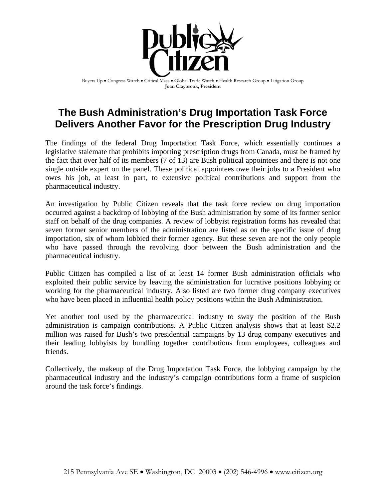

Buyers Up • Congress Watch • Critical Mass • Global Trade Watch • Health Research Group • Litigation Group **Joan Claybrook, President**

# **The Bush Administration's Drug Importation Task Force Delivers Another Favor for the Prescription Drug Industry**

The findings of the federal Drug Importation Task Force, which essentially continues a legislative stalemate that prohibits importing prescription drugs from Canada, must be framed by the fact that over half of its members (7 of 13) are Bush political appointees and there is not one single outside expert on the panel. These political appointees owe their jobs to a President who owes his job, at least in part, to extensive political contributions and support from the pharmaceutical industry.

An investigation by Public Citizen reveals that the task force review on drug importation occurred against a backdrop of lobbying of the Bush administration by some of its former senior staff on behalf of the drug companies. A review of lobbyist registration forms has revealed that seven former senior members of the administration are listed as on the specific issue of drug importation, six of whom lobbied their former agency. But these seven are not the only people who have passed through the revolving door between the Bush administration and the pharmaceutical industry.

Public Citizen has compiled a list of at least 14 former Bush administration officials who exploited their public service by leaving the administration for lucrative positions lobbying or working for the pharmaceutical industry. Also listed are two former drug company executives who have been placed in influential health policy positions within the Bush Administration.

Yet another tool used by the pharmaceutical industry to sway the position of the Bush administration is campaign contributions. A Public Citizen analysis shows that at least \$2.2 million was raised for Bush's two presidential campaigns by 13 drug company executives and their leading lobbyists by bundling together contributions from employees, colleagues and friends.

Collectively, the makeup of the Drug Importation Task Force, the lobbying campaign by the pharmaceutical industry and the industry's campaign contributions form a frame of suspicion around the task force's findings.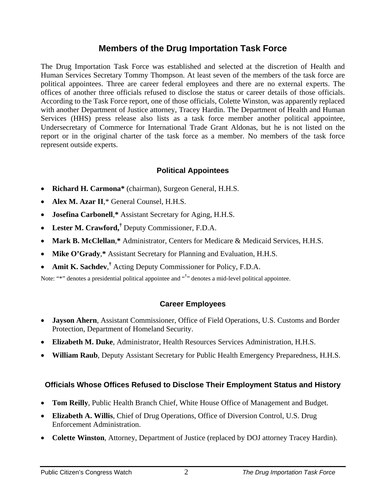### **Members of the Drug Importation Task Force**

The Drug Importation Task Force was established and selected at the discretion of Health and Human Services Secretary Tommy Thompson. At least seven of the members of the task force are political appointees. Three are career federal employees and there are no external experts. The offices of another three officials refused to disclose the status or career details of those officials. According to the Task Force report, one of those officials, Colette Winston, was apparently replaced with another Department of Justice attorney, Tracey Hardin. The Department of Health and Human Services (HHS) press release also lists as a task force member another political appointee, Undersecretary of Commerce for International Trade Grant Aldonas, but he is not listed on the report or in the original charter of the task force as a member. No members of the task force represent outside experts.

#### **Political Appointees**

- **Richard H. Carmona\*** (chairman), Surgeon General, H.H.S.
- **Alex M. Azar II**,\* General Counsel, H.H.S.
- **Josefina Carbonell**,**\*** Assistant Secretary for Aging, H.H.S.
- **Lester M. Crawford,†** Deputy Commissioner, F.D.A.
- **Mark B. McClellan**,**\*** Administrator, Centers for Medicare & Medicaid Services, H.H.S.
- **Mike O'Grady**,**\*** Assistant Secretary for Planning and Evaluation, H.H.S.
- **Amit K. Sachdev**,<sup>†</sup> Acting Deputy Commissioner for Policy, F.D.A.

Note: "\*" denotes a presidential political appointee and "<sup>†</sup>" denotes a mid-level political appointee.

### **Career Employees**

- **Jayson Ahern**, Assistant Commissioner, Office of Field Operations, U.S. Customs and Border Protection, Department of Homeland Security.
- **Elizabeth M. Duke**, Administrator, Health Resources Services Administration, H.H.S.
- **William Raub**, Deputy Assistant Secretary for Public Health Emergency Preparedness, H.H.S.

#### **Officials Whose Offices Refused to Disclose Their Employment Status and History**

- **Tom Reilly**, Public Health Branch Chief, White House Office of Management and Budget.
- **Elizabeth A. Willis**, Chief of Drug Operations, Office of Diversion Control, U.S. Drug Enforcement Administration.
- **Colette Winston**, Attorney, Department of Justice (replaced by DOJ attorney Tracey Hardin).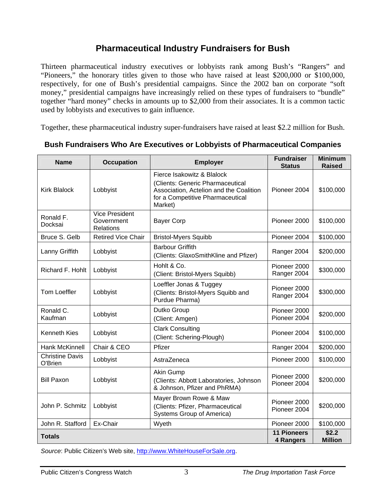## **Pharmaceutical Industry Fundraisers for Bush**

Thirteen pharmaceutical industry executives or lobbyists rank among Bush's "Rangers" and "Pioneers," the honorary titles given to those who have raised at least \$200,000 or \$100,000, respectively, for one of Bush's presidential campaigns. Since the 2002 ban on corporate "soft money," presidential campaigns have increasingly relied on these types of fundraisers to "bundle" together "hard money" checks in amounts up to \$2,000 from their associates. It is a common tactic used by lobbyists and executives to gain influence.

Together, these pharmaceutical industry super-fundraisers have raised at least \$2.2 million for Bush.

| <b>Name</b>                       | <b>Occupation</b>                                | <b>Employer</b>                                                                                                                                          | <b>Fundraiser</b><br><b>Status</b> | <b>Minimum</b><br><b>Raised</b> |
|-----------------------------------|--------------------------------------------------|----------------------------------------------------------------------------------------------------------------------------------------------------------|------------------------------------|---------------------------------|
| <b>Kirk Blalock</b>               | Lobbyist                                         | Fierce Isakowitz & Blalock<br>(Clients: Generic Pharmaceutical<br>Association, Actelion and the Coalition<br>for a Competitive Pharmaceutical<br>Market) | Pioneer 2004                       | \$100,000                       |
| Ronald F.<br>Docksai              | <b>Vice President</b><br>Government<br>Relations | <b>Bayer Corp</b>                                                                                                                                        | Pioneer 2000                       | \$100,000                       |
| Bruce S. Gelb                     | <b>Retired Vice Chair</b>                        | <b>Bristol-Myers Squibb</b>                                                                                                                              | Pioneer 2004                       | \$100,000                       |
| Lanny Griffith                    | Lobbyist                                         | <b>Barbour Griffith</b><br>(Clients: GlaxoSmithKline and Pfizer)                                                                                         | Ranger 2004                        | \$200,000                       |
| Richard F. Hohlt                  | Lobbyist                                         | Hohlt & Co.<br>(Client: Bristol-Myers Squibb)                                                                                                            | Pioneer 2000<br>Ranger 2004        | \$300,000                       |
| <b>Tom Loeffler</b>               | Lobbyist                                         | Loeffler Jonas & Tuggey<br>(Clients: Bristol-Myers Squibb and<br>Purdue Pharma)                                                                          | Pioneer 2000<br>Ranger 2004        | \$300,000                       |
| Ronald C.<br>Kaufman              | Lobbyist                                         | Dutko Group<br>(Client: Amgen)                                                                                                                           | Pioneer 2000<br>Pioneer 2004       | \$200,000                       |
| <b>Kenneth Kies</b>               | Lobbyist                                         | <b>Clark Consulting</b><br>(Client: Schering-Plough)                                                                                                     | Pioneer 2004                       | \$100,000                       |
| <b>Hank McKinnell</b>             | Chair & CEO                                      | Pfizer                                                                                                                                                   | Ranger 2004                        | \$200,000                       |
| <b>Christine Davis</b><br>O'Brien | Lobbyist                                         | AstraZeneca                                                                                                                                              | Pioneer 2000                       | \$100,000                       |
| <b>Bill Paxon</b>                 | Lobbyist                                         | Akin Gump<br>(Clients: Abbott Laboratories, Johnson<br>& Johnson, Pfizer and PhRMA)                                                                      | Pioneer 2000<br>Pioneer 2004       | \$200,000                       |
| John P. Schmitz                   | Lobbyist                                         | Mayer Brown Rowe & Maw<br>(Clients: Pfizer, Pharmaceutical<br>Systems Group of America)                                                                  | Pioneer 2000<br>Pioneer 2004       | \$200,000                       |
| John R. Stafford                  | Ex-Chair                                         | Wyeth                                                                                                                                                    | Pioneer 2000                       | \$100,000                       |
| <b>Totals</b>                     |                                                  |                                                                                                                                                          | <b>11 Pioneers</b><br>4 Rangers    | \$2.2<br><b>Million</b>         |

#### **Bush Fundraisers Who Are Executives or Lobbyists of Pharmaceutical Companies**

*Source*: Public Citizen's Web site, http://www.WhiteHouseForSale.org.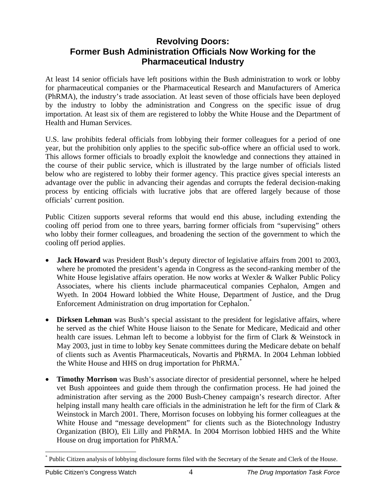### **Revolving Doors: Former Bush Administration Officials Now Working for the Pharmaceutical Industry**

At least 14 senior officials have left positions within the Bush administration to work or lobby for pharmaceutical companies or the Pharmaceutical Research and Manufacturers of America (PhRMA), the industry's trade association. At least seven of those officials have been deployed by the industry to lobby the administration and Congress on the specific issue of drug importation. At least six of them are registered to lobby the White House and the Department of Health and Human Services.

U.S. law prohibits federal officials from lobbying their former colleagues for a period of one year, but the prohibition only applies to the specific sub-office where an official used to work. This allows former officials to broadly exploit the knowledge and connections they attained in the course of their public service, which is illustrated by the large number of officials listed below who are registered to lobby their former agency. This practice gives special interests an advantage over the public in advancing their agendas and corrupts the federal decision-making process by enticing officials with lucrative jobs that are offered largely because of those officials' current position.

Public Citizen supports several reforms that would end this abuse, including extending the cooling off period from one to three years, barring former officials from "supervising" others who lobby their former colleagues, and broadening the section of the government to which the cooling off period applies.

- **Jack Howard** was President Bush's deputy director of legislative affairs from 2001 to 2003, where he promoted the president's agenda in Congress as the second-ranking member of the White House legislative affairs operation. He now works at Wexler & Walker Public Policy Associates, where his clients include pharmaceutical companies Cephalon, Amgen and Wyeth. In 2004 Howard lobbied the White House, Department of Justice, and the Drug Enforcement Administration on drug importation for Cephalon.<sup>\*</sup>
- **Dirksen Lehman** was Bush's special assistant to the president for legislative affairs, where he served as the chief White House liaison to the Senate for Medicare, Medicaid and other health care issues. Lehman left to become a lobbyist for the firm of Clark & Weinstock in May 2003, just in time to lobby key Senate committees during the Medicare debate on behalf of clients such as Aventis Pharmaceuticals, Novartis and PhRMA. In 2004 Lehman lobbied the White House and HHS on drug importation for PhRMA.<sup>\*</sup>
- **Timothy Morrison** was Bush's associate director of presidential personnel, where he helped vet Bush appointees and guide them through the confirmation process. He had joined the administration after serving as the 2000 Bush-Cheney campaign's research director. After helping install many health care officials in the administration he left for the firm of Clark  $\&$ Weinstock in March 2001. There, Morrison focuses on lobbying his former colleagues at the White House and "message development" for clients such as the Biotechnology Industry Organization (BIO), Eli Lilly and PhRMA. In 2004 Morrison lobbied HHS and the White House on drug importation for PhRMA.<sup>\*</sup>

 $\overline{a}$ \* Public Citizen analysis of lobbying disclosure forms filed with the Secretary of the Senate and Clerk of the House.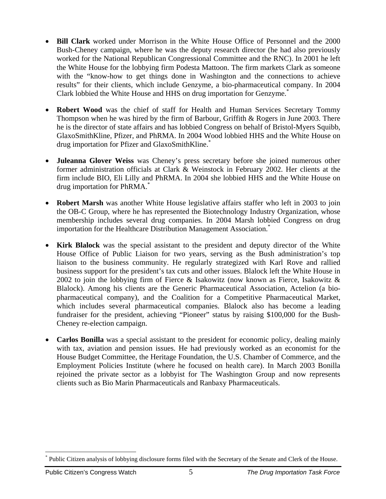- **Bill Clark** worked under Morrison in the White House Office of Personnel and the 2000 Bush-Cheney campaign, where he was the deputy research director (he had also previously worked for the National Republican Congressional Committee and the RNC). In 2001 he left the White House for the lobbying firm Podesta Mattoon. The firm markets Clark as someone with the "know-how to get things done in Washington and the connections to achieve results" for their clients, which include Genzyme, a bio-pharmaceutical company. In 2004 Clark lobbied the White House and HHS on drug importation for Genzyme.<sup>\*</sup>
- **Robert Wood** was the chief of staff for Health and Human Services Secretary Tommy Thompson when he was hired by the firm of Barbour, Griffith & Rogers in June 2003. There he is the director of state affairs and has lobbied Congress on behalf of Bristol-Myers Squibb, GlaxoSmithKline, Pfizer, and PhRMA. In 2004 Wood lobbied HHS and the White House on drug importation for Pfizer and GlaxoSmithKline.\*
- **Juleanna Glover Weiss** was Cheney's press secretary before she joined numerous other former administration officials at Clark & Weinstock in February 2002. Her clients at the firm include BIO, Eli Lilly and PhRMA. In 2004 she lobbied HHS and the White House on drug importation for PhRMA.\*
- **Robert Marsh** was another White House legislative affairs staffer who left in 2003 to join the OB-C Group, where he has represented the Biotechnology Industry Organization, whose membership includes several drug companies. In 2004 Marsh lobbied Congress on drug importation for the Healthcare Distribution Management Association.<sup>\*</sup>
- **Kirk Blalock** was the special assistant to the president and deputy director of the White House Office of Public Liaison for two years, serving as the Bush administration's top liaison to the business community. He regularly strategized with Karl Rove and rallied business support for the president's tax cuts and other issues. Blalock left the White House in 2002 to join the lobbying firm of Fierce & Isakowitz (now known as Fierce, Isakowitz  $\&$ Blalock). Among his clients are the Generic Pharmaceutical Association, Actelion (a biopharmaceutical company), and the Coalition for a Competitive Pharmaceutical Market, which includes several pharmaceutical companies. Blalock also has become a leading fundraiser for the president, achieving "Pioneer" status by raising \$100,000 for the Bush-Cheney re-election campaign.
- **Carlos Bonilla** was a special assistant to the president for economic policy, dealing mainly with tax, aviation and pension issues. He had previously worked as an economist for the House Budget Committee, the Heritage Foundation, the U.S. Chamber of Commerce, and the Employment Policies Institute (where he focused on health care). In March 2003 Bonilla rejoined the private sector as a lobbyist for The Washington Group and now represents clients such as Bio Marin Pharmaceuticals and Ranbaxy Pharmaceuticals.

<sup>1</sup> \* Public Citizen analysis of lobbying disclosure forms filed with the Secretary of the Senate and Clerk of the House.